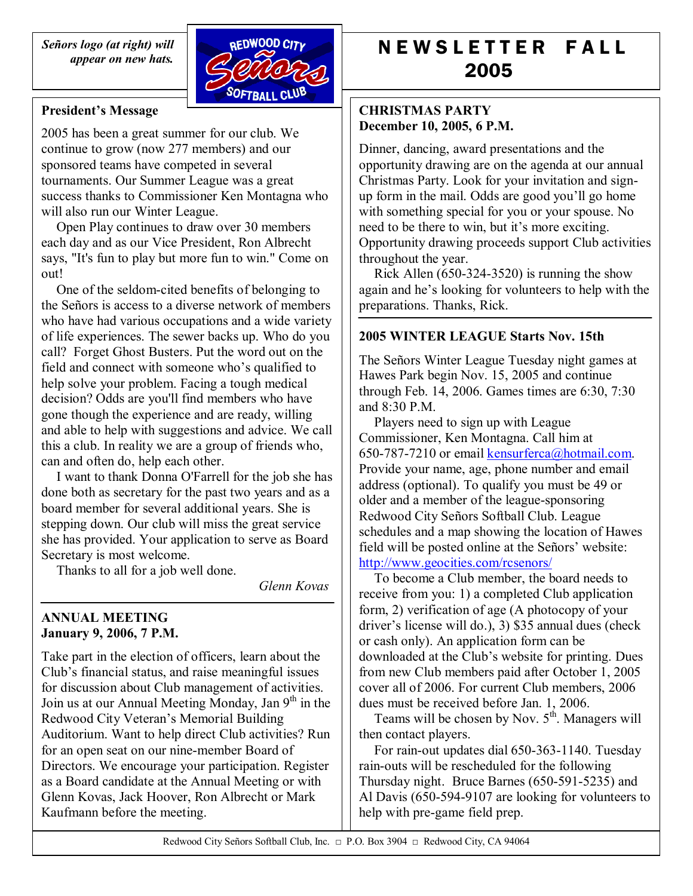*SeÒors logo (at right) will appear on new hats.* 



#### **President's Message**

2005 has been a great summer for our club. We continue to grow (now 277 members) and our sponsored teams have competed in several tournaments. Our Summer League was a great success thanks to Commissioner Ken Montagna who will also run our Winter League.

Open Play continues to draw over 30 members each day and as our Vice President, Ron Albrecht says, "It's fun to play but more fun to win." Come on out!

One of the seldom-cited benefits of belonging to the Señors is access to a diverse network of members who have had various occupations and a wide variety of life experiences. The sewer backs up. Who do you call? Forget Ghost Busters. Put the word out on the field and connect with someone who's qualified to help solve your problem. Facing a tough medical decision? Odds are you'll find members who have gone though the experience and are ready, willing and able to help with suggestions and advice. We call this a club. In reality we are a group of friends who, can and often do, help each other.

I want to thank Donna O'Farrell for the job she has done both as secretary for the past two years and as a board member for several additional years. She is stepping down. Our club will miss the great service she has provided. Your application to serve as Board Secretary is most welcome.

Thanks to all for a job well done.

*Glenn Kovas*

#### **ANNUAL MEETING January 9, 2006, 7 P.M.**

Take part in the election of officers, learn about the Club's financial status, and raise meaningful issues for discussion about Club management of activities. Join us at our Annual Meeting Monday, Jan 9<sup>th</sup> in the Redwood City Veteran's Memorial Building Auditorium. Want to help direct Club activities? Run for an open seat on our nine-member Board of Directors. We encourage your participation. Register as a Board candidate at the Annual Meeting or with Glenn Kovas, Jack Hoover, Ron Albrecht or Mark Kaufmann before the meeting.

# N E W S L E T T E R F A L L 2005

## **CHRISTMAS PARTY December 10, 2005, 6 P.M.**

Dinner, dancing, award presentations and the opportunity drawing are on the agenda at our annual Christmas Party. Look for your invitation and signup form in the mail. Odds are good you'll go home with something special for you or your spouse. No need to be there to win, but it's more exciting. Opportunity drawing proceeds support Club activities throughout the year.

Rick Allen (650-324-3520) is running the show again and he's looking for volunteers to help with the preparations. Thanks, Rick.

# **2005 WINTER LEAGUE Starts Nov. 15th**

The Señors Winter League Tuesday night games at Hawes Park begin Nov. 15, 2005 and continue through Feb. 14, 2006. Games times are 6:30, 7:30 and 8:30 P.M.

Players need to sign up with League Commissioner, Ken Montagna. Call him at 650-787-7210 or email kensurferca@hotmail.com. Provide your name, age, phone number and email address (optional). To qualify you must be 49 or older and a member of the league-sponsoring Redwood City Señors Softball Club. League schedules and a map showing the location of Hawes field will be posted online at the Señors' website: http://www.geocities.com/rcsenors/

To become a Club member, the board needs to receive from you: 1) a completed Club application form, 2) verification of age (A photocopy of your driver's license will do.), 3) \$35 annual dues (check or cash only). An application form can be downloaded at the Club's website for printing. Dues from new Club members paid after October 1, 2005 cover all of 2006. For current Club members, 2006 dues must be received before Jan. 1, 2006.

Teams will be chosen by Nov.  $5<sup>th</sup>$ . Managers will then contact players.

For rain-out updates dial 650-363-1140. Tuesday rain-outs will be rescheduled for the following Thursday night. Bruce Barnes (650-591-5235) and Al Davis (650-594-9107 are looking for volunteers to help with pre-game field prep.